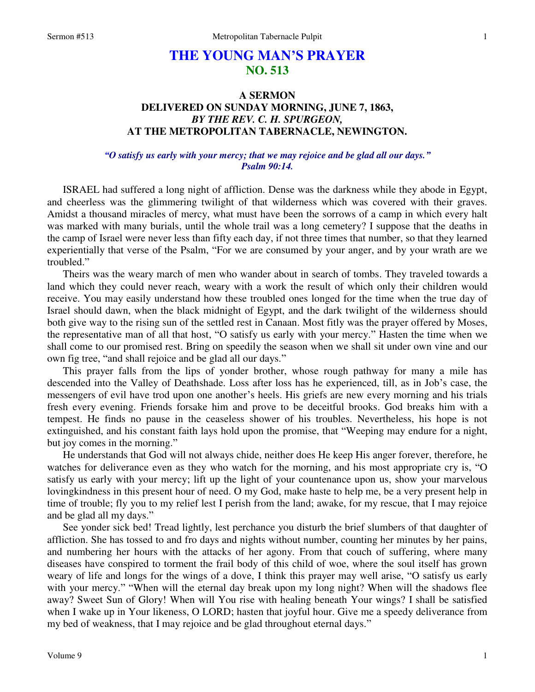# **THE YOUNG MAN'S PRAYER NO. 513**

## **A SERMON DELIVERED ON SUNDAY MORNING, JUNE 7, 1863,**  *BY THE REV. C. H. SPURGEON,*  **AT THE METROPOLITAN TABERNACLE, NEWINGTON.**

### *"O satisfy us early with your mercy; that we may rejoice and be glad all our days." Psalm 90:14.*

ISRAEL had suffered a long night of affliction. Dense was the darkness while they abode in Egypt, and cheerless was the glimmering twilight of that wilderness which was covered with their graves. Amidst a thousand miracles of mercy, what must have been the sorrows of a camp in which every halt was marked with many burials, until the whole trail was a long cemetery? I suppose that the deaths in the camp of Israel were never less than fifty each day, if not three times that number, so that they learned experientially that verse of the Psalm, "For we are consumed by your anger, and by your wrath are we troubled."

Theirs was the weary march of men who wander about in search of tombs. They traveled towards a land which they could never reach, weary with a work the result of which only their children would receive. You may easily understand how these troubled ones longed for the time when the true day of Israel should dawn, when the black midnight of Egypt, and the dark twilight of the wilderness should both give way to the rising sun of the settled rest in Canaan. Most fitly was the prayer offered by Moses, the representative man of all that host, "O satisfy us early with your mercy." Hasten the time when we shall come to our promised rest. Bring on speedily the season when we shall sit under own vine and our own fig tree, "and shall rejoice and be glad all our days."

This prayer falls from the lips of yonder brother, whose rough pathway for many a mile has descended into the Valley of Deathshade. Loss after loss has he experienced, till, as in Job's case, the messengers of evil have trod upon one another's heels. His griefs are new every morning and his trials fresh every evening. Friends forsake him and prove to be deceitful brooks. God breaks him with a tempest. He finds no pause in the ceaseless shower of his troubles. Nevertheless, his hope is not extinguished, and his constant faith lays hold upon the promise, that "Weeping may endure for a night, but joy comes in the morning."

He understands that God will not always chide, neither does He keep His anger forever, therefore, he watches for deliverance even as they who watch for the morning, and his most appropriate cry is, "O satisfy us early with your mercy; lift up the light of your countenance upon us, show your marvelous lovingkindness in this present hour of need. O my God, make haste to help me, be a very present help in time of trouble; fly you to my relief lest I perish from the land; awake, for my rescue, that I may rejoice and be glad all my days."

See yonder sick bed! Tread lightly, lest perchance you disturb the brief slumbers of that daughter of affliction. She has tossed to and fro days and nights without number, counting her minutes by her pains, and numbering her hours with the attacks of her agony. From that couch of suffering, where many diseases have conspired to torment the frail body of this child of woe, where the soul itself has grown weary of life and longs for the wings of a dove, I think this prayer may well arise, "O satisfy us early with your mercy." "When will the eternal day break upon my long night? When will the shadows flee away? Sweet Sun of Glory! When will You rise with healing beneath Your wings? I shall be satisfied when I wake up in Your likeness, O LORD; hasten that joyful hour. Give me a speedy deliverance from my bed of weakness, that I may rejoice and be glad throughout eternal days."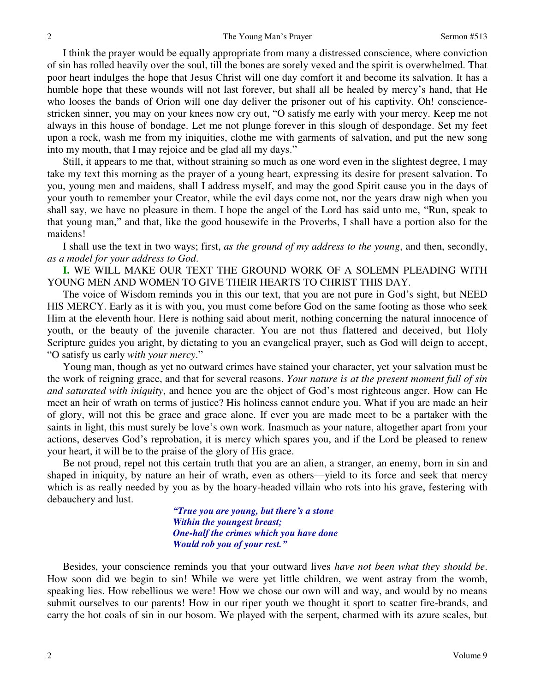I think the prayer would be equally appropriate from many a distressed conscience, where conviction of sin has rolled heavily over the soul, till the bones are sorely vexed and the spirit is overwhelmed. That poor heart indulges the hope that Jesus Christ will one day comfort it and become its salvation. It has a humble hope that these wounds will not last forever, but shall all be healed by mercy's hand, that He who looses the bands of Orion will one day deliver the prisoner out of his captivity. Oh! consciencestricken sinner, you may on your knees now cry out, "O satisfy me early with your mercy. Keep me not always in this house of bondage. Let me not plunge forever in this slough of despondage. Set my feet upon a rock, wash me from my iniquities, clothe me with garments of salvation, and put the new song into my mouth, that I may rejoice and be glad all my days."

Still, it appears to me that, without straining so much as one word even in the slightest degree, I may take my text this morning as the prayer of a young heart, expressing its desire for present salvation. To you, young men and maidens, shall I address myself, and may the good Spirit cause you in the days of your youth to remember your Creator, while the evil days come not, nor the years draw nigh when you shall say, we have no pleasure in them. I hope the angel of the Lord has said unto me, "Run, speak to that young man," and that, like the good housewife in the Proverbs, I shall have a portion also for the maidens!

I shall use the text in two ways; first, *as the ground of my address to the young*, and then, secondly, *as a model for your address to God*.

**I.** WE WILL MAKE OUR TEXT THE GROUND WORK OF A SOLEMN PLEADING WITH YOUNG MEN AND WOMEN TO GIVE THEIR HEARTS TO CHRIST THIS DAY.

The voice of Wisdom reminds you in this our text, that you are not pure in God's sight, but NEED HIS MERCY. Early as it is with you, you must come before God on the same footing as those who seek Him at the eleventh hour. Here is nothing said about merit, nothing concerning the natural innocence of youth, or the beauty of the juvenile character. You are not thus flattered and deceived, but Holy Scripture guides you aright, by dictating to you an evangelical prayer, such as God will deign to accept, "O satisfy us early *with your mercy*."

Young man, though as yet no outward crimes have stained your character, yet your salvation must be the work of reigning grace, and that for several reasons. *Your nature is at the present moment full of sin and saturated with iniquity*, and hence you are the object of God's most righteous anger. How can He meet an heir of wrath on terms of justice? His holiness cannot endure you. What if you are made an heir of glory, will not this be grace and grace alone. If ever you are made meet to be a partaker with the saints in light, this must surely be love's own work. Inasmuch as your nature, altogether apart from your actions, deserves God's reprobation, it is mercy which spares you, and if the Lord be pleased to renew your heart, it will be to the praise of the glory of His grace.

Be not proud, repel not this certain truth that you are an alien, a stranger, an enemy, born in sin and shaped in iniquity, by nature an heir of wrath, even as others—yield to its force and seek that mercy which is as really needed by you as by the hoary-headed villain who rots into his grave, festering with debauchery and lust.

> *"True you are young, but there's a stone Within the youngest breast; One-half the crimes which you have done Would rob you of your rest."*

Besides, your conscience reminds you that your outward lives *have not been what they should be*. How soon did we begin to sin! While we were yet little children, we went astray from the womb, speaking lies. How rebellious we were! How we chose our own will and way, and would by no means submit ourselves to our parents! How in our riper youth we thought it sport to scatter fire-brands, and carry the hot coals of sin in our bosom. We played with the serpent, charmed with its azure scales, but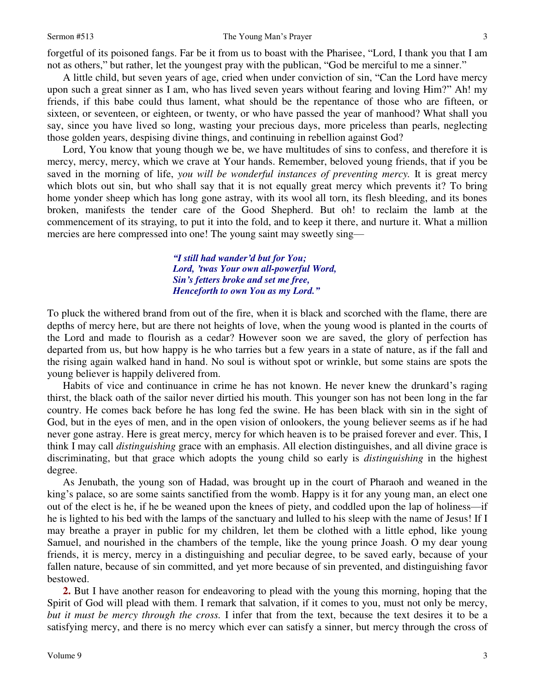forgetful of its poisoned fangs. Far be it from us to boast with the Pharisee, "Lord, I thank you that I am not as others," but rather, let the youngest pray with the publican, "God be merciful to me a sinner."

A little child, but seven years of age, cried when under conviction of sin, "Can the Lord have mercy upon such a great sinner as I am, who has lived seven years without fearing and loving Him?" Ah! my friends, if this babe could thus lament, what should be the repentance of those who are fifteen, or sixteen, or seventeen, or eighteen, or twenty, or who have passed the year of manhood? What shall you say, since you have lived so long, wasting your precious days, more priceless than pearls, neglecting those golden years, despising divine things, and continuing in rebellion against God?

Lord, You know that young though we be, we have multitudes of sins to confess, and therefore it is mercy, mercy, mercy, which we crave at Your hands. Remember, beloved young friends, that if you be saved in the morning of life, *you will be wonderful instances of preventing mercy.* It is great mercy which blots out sin, but who shall say that it is not equally great mercy which prevents it? To bring home yonder sheep which has long gone astray, with its wool all torn, its flesh bleeding, and its bones broken, manifests the tender care of the Good Shepherd. But oh! to reclaim the lamb at the commencement of its straying, to put it into the fold, and to keep it there, and nurture it. What a million mercies are here compressed into one! The young saint may sweetly sing—

> *"I still had wander'd but for You; Lord, 'twas Your own all-powerful Word, Sin's fetters broke and set me free, Henceforth to own You as my Lord."*

To pluck the withered brand from out of the fire, when it is black and scorched with the flame, there are depths of mercy here, but are there not heights of love, when the young wood is planted in the courts of the Lord and made to flourish as a cedar? However soon we are saved, the glory of perfection has departed from us, but how happy is he who tarries but a few years in a state of nature, as if the fall and the rising again walked hand in hand. No soul is without spot or wrinkle, but some stains are spots the young believer is happily delivered from.

Habits of vice and continuance in crime he has not known. He never knew the drunkard's raging thirst, the black oath of the sailor never dirtied his mouth. This younger son has not been long in the far country. He comes back before he has long fed the swine. He has been black with sin in the sight of God, but in the eyes of men, and in the open vision of onlookers, the young believer seems as if he had never gone astray. Here is great mercy, mercy for which heaven is to be praised forever and ever. This, I think I may call *distinguishing* grace with an emphasis. All election distinguishes, and all divine grace is discriminating, but that grace which adopts the young child so early is *distinguishing* in the highest degree.

As Jenubath, the young son of Hadad, was brought up in the court of Pharaoh and weaned in the king's palace, so are some saints sanctified from the womb. Happy is it for any young man, an elect one out of the elect is he, if he be weaned upon the knees of piety, and coddled upon the lap of holiness—if he is lighted to his bed with the lamps of the sanctuary and lulled to his sleep with the name of Jesus! If I may breathe a prayer in public for my children, let them be clothed with a little ephod, like young Samuel, and nourished in the chambers of the temple, like the young prince Joash. O my dear young friends, it is mercy, mercy in a distinguishing and peculiar degree, to be saved early, because of your fallen nature, because of sin committed, and yet more because of sin prevented, and distinguishing favor bestowed.

**2.** But I have another reason for endeavoring to plead with the young this morning, hoping that the Spirit of God will plead with them. I remark that salvation, if it comes to you, must not only be mercy, *but it must be mercy through the cross.* I infer that from the text, because the text desires it to be a satisfying mercy, and there is no mercy which ever can satisfy a sinner, but mercy through the cross of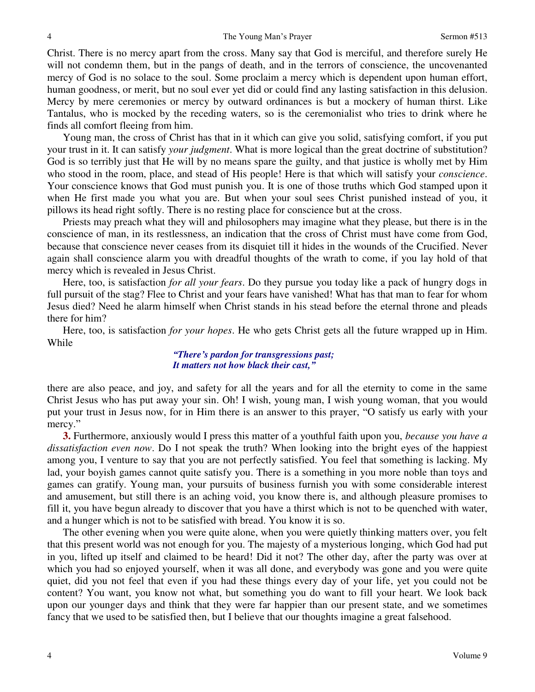Christ. There is no mercy apart from the cross. Many say that God is merciful, and therefore surely He will not condemn them, but in the pangs of death, and in the terrors of conscience, the uncovenanted mercy of God is no solace to the soul. Some proclaim a mercy which is dependent upon human effort, human goodness, or merit, but no soul ever yet did or could find any lasting satisfaction in this delusion. Mercy by mere ceremonies or mercy by outward ordinances is but a mockery of human thirst. Like Tantalus, who is mocked by the receding waters, so is the ceremonialist who tries to drink where he finds all comfort fleeing from him.

Young man, the cross of Christ has that in it which can give you solid, satisfying comfort, if you put your trust in it. It can satisfy *your judgment*. What is more logical than the great doctrine of substitution? God is so terribly just that He will by no means spare the guilty, and that justice is wholly met by Him who stood in the room, place, and stead of His people! Here is that which will satisfy your *conscience*. Your conscience knows that God must punish you. It is one of those truths which God stamped upon it when He first made you what you are. But when your soul sees Christ punished instead of you, it pillows its head right softly. There is no resting place for conscience but at the cross.

Priests may preach what they will and philosophers may imagine what they please, but there is in the conscience of man, in its restlessness, an indication that the cross of Christ must have come from God, because that conscience never ceases from its disquiet till it hides in the wounds of the Crucified. Never again shall conscience alarm you with dreadful thoughts of the wrath to come, if you lay hold of that mercy which is revealed in Jesus Christ.

Here, too, is satisfaction *for all your fears*. Do they pursue you today like a pack of hungry dogs in full pursuit of the stag? Flee to Christ and your fears have vanished! What has that man to fear for whom Jesus died? Need he alarm himself when Christ stands in his stead before the eternal throne and pleads there for him?

Here, too, is satisfaction *for your hopes*. He who gets Christ gets all the future wrapped up in Him. While

#### *"There's pardon for transgressions past; It matters not how black their cast,"*

there are also peace, and joy, and safety for all the years and for all the eternity to come in the same Christ Jesus who has put away your sin. Oh! I wish, young man, I wish young woman, that you would put your trust in Jesus now, for in Him there is an answer to this prayer, "O satisfy us early with your mercy."

**3.** Furthermore, anxiously would I press this matter of a youthful faith upon you, *because you have a dissatisfaction even now*. Do I not speak the truth? When looking into the bright eyes of the happiest among you, I venture to say that you are not perfectly satisfied. You feel that something is lacking. My lad, your boyish games cannot quite satisfy you. There is a something in you more noble than toys and games can gratify. Young man, your pursuits of business furnish you with some considerable interest and amusement, but still there is an aching void, you know there is, and although pleasure promises to fill it, you have begun already to discover that you have a thirst which is not to be quenched with water, and a hunger which is not to be satisfied with bread. You know it is so.

The other evening when you were quite alone, when you were quietly thinking matters over, you felt that this present world was not enough for you. The majesty of a mysterious longing, which God had put in you, lifted up itself and claimed to be heard! Did it not? The other day, after the party was over at which you had so enjoyed yourself, when it was all done, and everybody was gone and you were quite quiet, did you not feel that even if you had these things every day of your life, yet you could not be content? You want, you know not what, but something you do want to fill your heart. We look back upon our younger days and think that they were far happier than our present state, and we sometimes fancy that we used to be satisfied then, but I believe that our thoughts imagine a great falsehood.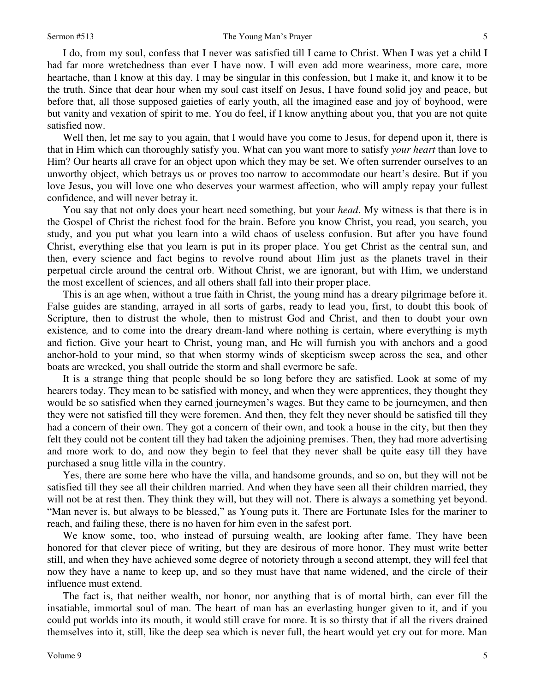I do, from my soul, confess that I never was satisfied till I came to Christ. When I was yet a child I had far more wretchedness than ever I have now. I will even add more weariness, more care, more heartache, than I know at this day. I may be singular in this confession, but I make it, and know it to be the truth. Since that dear hour when my soul cast itself on Jesus, I have found solid joy and peace, but before that, all those supposed gaieties of early youth, all the imagined ease and joy of boyhood, were but vanity and vexation of spirit to me. You do feel, if I know anything about you, that you are not quite satisfied now.

Well then, let me say to you again, that I would have you come to Jesus, for depend upon it, there is that in Him which can thoroughly satisfy you. What can you want more to satisfy *your heart* than love to Him? Our hearts all crave for an object upon which they may be set. We often surrender ourselves to an unworthy object, which betrays us or proves too narrow to accommodate our heart's desire. But if you love Jesus, you will love one who deserves your warmest affection, who will amply repay your fullest confidence, and will never betray it.

You say that not only does your heart need something, but your *head*. My witness is that there is in the Gospel of Christ the richest food for the brain. Before you know Christ, you read, you search, you study, and you put what you learn into a wild chaos of useless confusion. But after you have found Christ, everything else that you learn is put in its proper place. You get Christ as the central sun, and then, every science and fact begins to revolve round about Him just as the planets travel in their perpetual circle around the central orb. Without Christ, we are ignorant, but with Him, we understand the most excellent of sciences, and all others shall fall into their proper place.

This is an age when, without a true faith in Christ, the young mind has a dreary pilgrimage before it. False guides are standing, arrayed in all sorts of garbs, ready to lead you, first, to doubt this book of Scripture, then to distrust the whole, then to mistrust God and Christ, and then to doubt your own existence*,* and to come into the dreary dream-land where nothing is certain, where everything is myth and fiction. Give your heart to Christ, young man, and He will furnish you with anchors and a good anchor-hold to your mind, so that when stormy winds of skepticism sweep across the sea, and other boats are wrecked, you shall outride the storm and shall evermore be safe.

It is a strange thing that people should be so long before they are satisfied. Look at some of my hearers today. They mean to be satisfied with money, and when they were apprentices, they thought they would be so satisfied when they earned journeymen's wages. But they came to be journeymen, and then they were not satisfied till they were foremen. And then, they felt they never should be satisfied till they had a concern of their own. They got a concern of their own, and took a house in the city, but then they felt they could not be content till they had taken the adjoining premises. Then, they had more advertising and more work to do, and now they begin to feel that they never shall be quite easy till they have purchased a snug little villa in the country.

Yes, there are some here who have the villa, and handsome grounds, and so on, but they will not be satisfied till they see all their children married. And when they have seen all their children married, they will not be at rest then. They think they will, but they will not. There is always a something yet beyond. "Man never is, but always to be blessed," as Young puts it. There are Fortunate Isles for the mariner to reach, and failing these, there is no haven for him even in the safest port.

We know some, too, who instead of pursuing wealth, are looking after fame. They have been honored for that clever piece of writing, but they are desirous of more honor. They must write better still, and when they have achieved some degree of notoriety through a second attempt, they will feel that now they have a name to keep up, and so they must have that name widened, and the circle of their influence must extend.

The fact is, that neither wealth, nor honor, nor anything that is of mortal birth, can ever fill the insatiable, immortal soul of man. The heart of man has an everlasting hunger given to it, and if you could put worlds into its mouth, it would still crave for more. It is so thirsty that if all the rivers drained themselves into it, still, like the deep sea which is never full, the heart would yet cry out for more. Man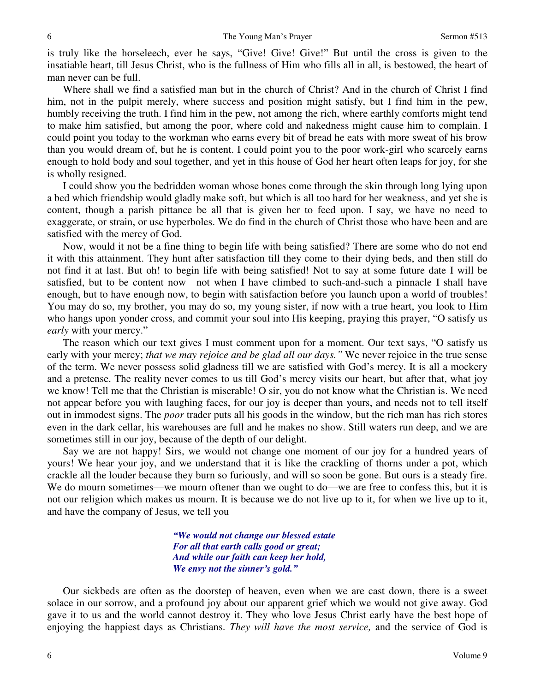is truly like the horseleech, ever he says, "Give! Give! Give!" But until the cross is given to the insatiable heart, till Jesus Christ, who is the fullness of Him who fills all in all, is bestowed, the heart of man never can be full.

Where shall we find a satisfied man but in the church of Christ? And in the church of Christ I find him, not in the pulpit merely, where success and position might satisfy, but I find him in the pew, humbly receiving the truth. I find him in the pew, not among the rich, where earthly comforts might tend to make him satisfied, but among the poor, where cold and nakedness might cause him to complain. I could point you today to the workman who earns every bit of bread he eats with more sweat of his brow than you would dream of, but he is content. I could point you to the poor work-girl who scarcely earns enough to hold body and soul together, and yet in this house of God her heart often leaps for joy, for she is wholly resigned.

I could show you the bedridden woman whose bones come through the skin through long lying upon a bed which friendship would gladly make soft, but which is all too hard for her weakness, and yet she is content, though a parish pittance be all that is given her to feed upon. I say, we have no need to exaggerate, or strain, or use hyperboles. We do find in the church of Christ those who have been and are satisfied with the mercy of God.

Now, would it not be a fine thing to begin life with being satisfied? There are some who do not end it with this attainment. They hunt after satisfaction till they come to their dying beds, and then still do not find it at last. But oh! to begin life with being satisfied! Not to say at some future date I will be satisfied, but to be content now—not when I have climbed to such-and-such a pinnacle I shall have enough, but to have enough now, to begin with satisfaction before you launch upon a world of troubles! You may do so, my brother, you may do so, my young sister, if now with a true heart, you look to Him who hangs upon yonder cross, and commit your soul into His keeping, praying this prayer, "O satisfy us *early* with your mercy."

The reason which our text gives I must comment upon for a moment. Our text says, "O satisfy us early with your mercy; *that we may rejoice and be glad all our days."* We never rejoice in the true sense of the term. We never possess solid gladness till we are satisfied with God's mercy. It is all a mockery and a pretense. The reality never comes to us till God's mercy visits our heart, but after that, what joy we know! Tell me that the Christian is miserable! O sir, you do not know what the Christian is. We need not appear before you with laughing faces, for our joy is deeper than yours, and needs not to tell itself out in immodest signs. The *poor* trader puts all his goods in the window, but the rich man has rich stores even in the dark cellar, his warehouses are full and he makes no show. Still waters run deep, and we are sometimes still in our joy, because of the depth of our delight.

Say we are not happy! Sirs, we would not change one moment of our joy for a hundred years of yours! We hear your joy, and we understand that it is like the crackling of thorns under a pot, which crackle all the louder because they burn so furiously, and will so soon be gone. But ours is a steady fire. We do mourn sometimes—we mourn oftener than we ought to do—we are free to confess this, but it is not our religion which makes us mourn. It is because we do not live up to it, for when we live up to it, and have the company of Jesus, we tell you

> *"We would not change our blessed estate For all that earth calls good or great; And while our faith can keep her hold, We envy not the sinner's gold."*

Our sickbeds are often as the doorstep of heaven, even when we are cast down, there is a sweet solace in our sorrow, and a profound joy about our apparent grief which we would not give away. God gave it to us and the world cannot destroy it. They who love Jesus Christ early have the best hope of enjoying the happiest days as Christians. *They will have the most service,* and the service of God is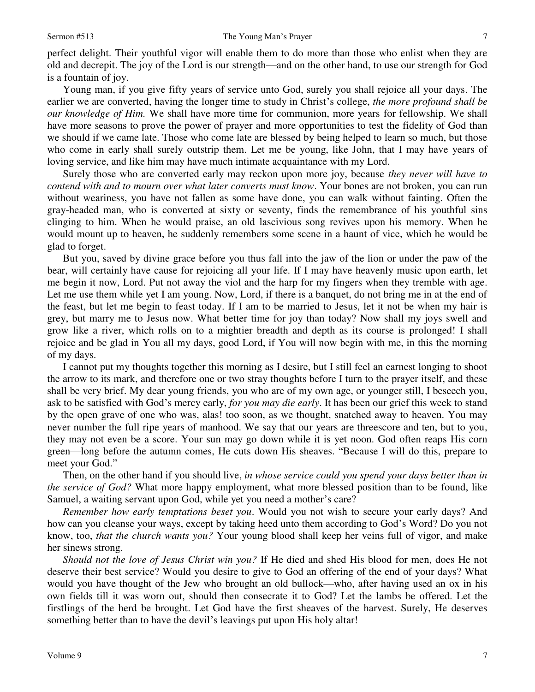perfect delight. Their youthful vigor will enable them to do more than those who enlist when they are old and decrepit. The joy of the Lord is our strength—and on the other hand, to use our strength for God is a fountain of joy.

Young man, if you give fifty years of service unto God, surely you shall rejoice all your days. The earlier we are converted, having the longer time to study in Christ's college, *the more profound shall be our knowledge of Him.* We shall have more time for communion, more years for fellowship. We shall have more seasons to prove the power of prayer and more opportunities to test the fidelity of God than we should if we came late. Those who come late are blessed by being helped to learn so much, but those who come in early shall surely outstrip them. Let me be young, like John, that I may have years of loving service, and like him may have much intimate acquaintance with my Lord.

Surely those who are converted early may reckon upon more joy, because *they never will have to contend with and to mourn over what later converts must know*. Your bones are not broken, you can run without weariness, you have not fallen as some have done, you can walk without fainting. Often the gray-headed man, who is converted at sixty or seventy, finds the remembrance of his youthful sins clinging to him. When he would praise, an old lascivious song revives upon his memory. When he would mount up to heaven, he suddenly remembers some scene in a haunt of vice, which he would be glad to forget.

But you, saved by divine grace before you thus fall into the jaw of the lion or under the paw of the bear, will certainly have cause for rejoicing all your life. If I may have heavenly music upon earth, let me begin it now, Lord. Put not away the viol and the harp for my fingers when they tremble with age. Let me use them while yet I am young. Now, Lord, if there is a banquet, do not bring me in at the end of the feast, but let me begin to feast today. If I am to be married to Jesus, let it not be when my hair is grey, but marry me to Jesus now. What better time for joy than today? Now shall my joys swell and grow like a river, which rolls on to a mightier breadth and depth as its course is prolonged! I shall rejoice and be glad in You all my days, good Lord, if You will now begin with me, in this the morning of my days.

I cannot put my thoughts together this morning as I desire, but I still feel an earnest longing to shoot the arrow to its mark, and therefore one or two stray thoughts before I turn to the prayer itself, and these shall be very brief. My dear young friends, you who are of my own age, or younger still, I beseech you, ask to be satisfied with God's mercy early, *for you may die early*. It has been our grief this week to stand by the open grave of one who was, alas! too soon, as we thought, snatched away to heaven. You may never number the full ripe years of manhood. We say that our years are threescore and ten, but to you, they may not even be a score. Your sun may go down while it is yet noon. God often reaps His corn green—long before the autumn comes, He cuts down His sheaves. "Because I will do this, prepare to meet your God."

Then, on the other hand if you should live, *in whose service could you spend your days better than in the service of God?* What more happy employment, what more blessed position than to be found, like Samuel, a waiting servant upon God, while yet you need a mother's care?

*Remember how early temptations beset you*. Would you not wish to secure your early days? And how can you cleanse your ways, except by taking heed unto them according to God's Word? Do you not know, too, *that the church wants you?* Your young blood shall keep her veins full of vigor, and make her sinews strong.

*Should not the love of Jesus Christ win you?* If He died and shed His blood for men, does He not deserve their best service? Would you desire to give to God an offering of the end of your days? What would you have thought of the Jew who brought an old bullock—who, after having used an ox in his own fields till it was worn out, should then consecrate it to God? Let the lambs be offered. Let the firstlings of the herd be brought. Let God have the first sheaves of the harvest. Surely, He deserves something better than to have the devil's leavings put upon His holy altar!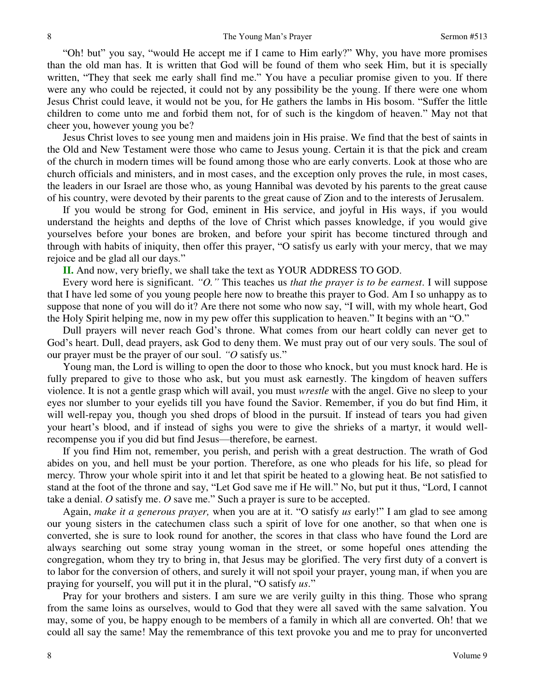"Oh! but" you say, "would He accept me if I came to Him early?" Why, you have more promises than the old man has. It is written that God will be found of them who seek Him, but it is specially written, "They that seek me early shall find me." You have a peculiar promise given to you. If there were any who could be rejected, it could not by any possibility be the young. If there were one whom Jesus Christ could leave, it would not be you, for He gathers the lambs in His bosom. "Suffer the little children to come unto me and forbid them not, for of such is the kingdom of heaven." May not that cheer you, however young you be?

Jesus Christ loves to see young men and maidens join in His praise. We find that the best of saints in the Old and New Testament were those who came to Jesus young. Certain it is that the pick and cream of the church in modern times will be found among those who are early converts. Look at those who are church officials and ministers, and in most cases, and the exception only proves the rule, in most cases, the leaders in our Israel are those who, as young Hannibal was devoted by his parents to the great cause of his country, were devoted by their parents to the great cause of Zion and to the interests of Jerusalem.

If you would be strong for God, eminent in His service, and joyful in His ways, if you would understand the heights and depths of the love of Christ which passes knowledge, if you would give yourselves before your bones are broken, and before your spirit has become tinctured through and through with habits of iniquity, then offer this prayer, "O satisfy us early with your mercy, that we may rejoice and be glad all our days."

**II.** And now, very briefly, we shall take the text as YOUR ADDRESS TO GOD.

Every word here is significant. *"O."* This teaches us *that the prayer is to be earnest*. I will suppose that I have led some of you young people here now to breathe this prayer to God. Am I so unhappy as to suppose that none of you will do it? Are there not some who now say, "I will, with my whole heart, God the Holy Spirit helping me, now in my pew offer this supplication to heaven." It begins with an "O."

Dull prayers will never reach God's throne. What comes from our heart coldly can never get to God's heart. Dull, dead prayers, ask God to deny them. We must pray out of our very souls. The soul of our prayer must be the prayer of our soul. *"O* satisfy us."

Young man, the Lord is willing to open the door to those who knock, but you must knock hard. He is fully prepared to give to those who ask, but you must ask earnestly. The kingdom of heaven suffers violence. It is not a gentle grasp which will avail, you must *wrestle* with the angel. Give no sleep to your eyes nor slumber to your eyelids till you have found the Savior. Remember, if you do but find Him, it will well-repay you, though you shed drops of blood in the pursuit. If instead of tears you had given your heart's blood, and if instead of sighs you were to give the shrieks of a martyr, it would wellrecompense you if you did but find Jesus—therefore, be earnest.

If you find Him not, remember, you perish, and perish with a great destruction. The wrath of God abides on you, and hell must be your portion. Therefore, as one who pleads for his life, so plead for mercy*.* Throw your whole spirit into it and let that spirit be heated to a glowing heat. Be not satisfied to stand at the foot of the throne and say, "Let God save me if He will." No, but put it thus, "Lord, I cannot take a denial. *O* satisfy me. *O* save me." Such a prayer is sure to be accepted.

Again, *make it a generous prayer,* when you are at it. "O satisfy *us* early!" I am glad to see among our young sisters in the catechumen class such a spirit of love for one another, so that when one is converted, she is sure to look round for another, the scores in that class who have found the Lord are always searching out some stray young woman in the street, or some hopeful ones attending the congregation, whom they try to bring in, that Jesus may be glorified. The very first duty of a convert is to labor for the conversion of others, and surely it will not spoil your prayer, young man, if when you are praying for yourself, you will put it in the plural, "O satisfy *us*."

Pray for your brothers and sisters. I am sure we are verily guilty in this thing. Those who sprang from the same loins as ourselves, would to God that they were all saved with the same salvation. You may, some of you, be happy enough to be members of a family in which all are converted. Oh! that we could all say the same! May the remembrance of this text provoke you and me to pray for unconverted